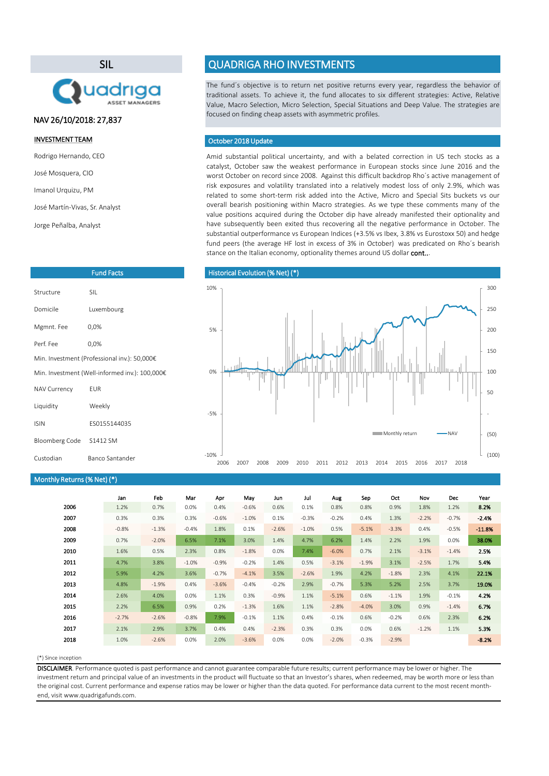Amid substantial political uncertainty, and with a belated correction in US tech stocks as a catalyst, October saw the weakest performance in European stocks since June 2016 and the worst October on record since 2008. Against this difficult backdrop Rho´s active management of risk exposures and volatility translated into a relatively modest loss of only 2.9%, which was related to some short-term risk added into the Active, Micro and Special Sits buckets vs our overall bearish positioning within Macro strategies. As we type these comments many of the value positions acquired during the October dip have already manifested their optionality and have subsequently been exited thus recovering all the negative performance in October. The substantial outperformance vs European Indices (+3.5% vs Ibex, 3.8% vs Eurostoxx 50) and hedge fund peers (the average HF lost in excess of 3% in October) was predicated on Rho´s bearish stance on the Italian economy, optionality themes around US dollar cont...

#### (\*) Since inception

|      | Jan     | Feb     | Mar      | Apr     | May     | Jun     | Jul     | Aug     | Sep     | Oct     | Nov     | Dec     | Year     |
|------|---------|---------|----------|---------|---------|---------|---------|---------|---------|---------|---------|---------|----------|
| 2006 | 1.2%    | 0.7%    | 0.0%     | 0.4%    | $-0.6%$ | 0.6%    | 0.1%    | 0.8%    | 0.8%    | 0.9%    | 1.8%    | 1.2%    | 8.2%     |
| 2007 | 0.3%    | 0.3%    | 0.3%     | $-0.6%$ | $-1.0%$ | 0.1%    | $-0.3%$ | $-0.2%$ | 0.4%    | 1.3%    | $-2.2%$ | $-0.7%$ | $-2.4%$  |
| 2008 | $-0.8%$ | $-1.3%$ | $-0.4%$  | 1.8%    | 0.1%    | $-2.6%$ | $-1.0%$ | 0.5%    | $-5.1%$ | $-3.3%$ | 0.4%    | $-0.5%$ | $-11.8%$ |
| 2009 | 0.7%    | $-2.0%$ | 6.5%     | 7.1%    | 3.0%    | 1.4%    | 4.7%    | 6.2%    | 1.4%    | 2.2%    | 1.9%    | $0.0\%$ | 38.0%    |
| 2010 | 1.6%    | 0.5%    | 2.3%     | 0.8%    | $-1.8%$ | 0.0%    | 7.4%    | $-6.0%$ | 0.7%    | 2.1%    | $-3.1%$ | $-1.4%$ | 2.5%     |
| 2011 | 4.7%    | 3.8%    | $-1.0\%$ | $-0.9%$ | $-0.2%$ | 1.4%    | 0.5%    | $-3.1%$ | $-1.9%$ | 3.1%    | $-2.5%$ | 1.7%    | 5.4%     |
| 2012 | 5.9%    | 4.2%    | 3.6%     | $-0.7%$ | $-4.1%$ | 3.5%    | $-2.6%$ | 1.9%    | 4.2%    | $-1.8%$ | 2.3%    | 4.1%    | 22.1%    |
| 2013 | 4.8%    | $-1.9%$ | 0.4%     | $-3.6%$ | $-0.4%$ | $-0.2%$ | 2.9%    | $-0.7%$ | 5.3%    | 5.2%    | 2.5%    | 3.7%    | 19.0%    |
| 2014 | 2.6%    | 4.0%    | 0.0%     | 1.1%    | 0.3%    | $-0.9%$ | 1.1%    | $-5.1%$ | 0.6%    | $-1.1%$ | 1.9%    | $-0.1%$ | 4.2%     |
| 2015 | 2.2%    | 6.5%    | 0.9%     | 0.2%    | $-1.3%$ | 1.6%    | 1.1%    | $-2.8%$ | $-4.0%$ | 3.0%    | 0.9%    | $-1.4%$ | 6.7%     |
| 2016 | $-2.7%$ | $-2.6%$ | $-0.8%$  | 7.9%    | $-0.1%$ | 1.1%    | 0.4%    | $-0.1%$ | 0.6%    | $-0.2%$ | 0.6%    | 2.3%    | 6.2%     |
| 2017 | 2.1%    | 2.9%    | 3.7%     | 0.4%    | 0.4%    | $-2.3%$ | 0.3%    | 0.3%    | 0.0%    | 0.6%    | $-1.2%$ | 1.1%    | 5.3%     |
| 2018 | 1.0%    | $-2.6%$ | 0.0%     | 2.0%    | $-3.6%$ | 0.0%    | 0.0%    | $-2.0%$ | $-0.3%$ | $-2.9%$ |         |         | $-8.2%$  |

The fund´s objective is to return net positive returns every year, regardless the behavior of traditional assets. To achieve it, the fund allocates to six different strategies: Active, Relative Value, Macro Selection, Micro Selection, Special Situations and Deep Value. The strategies are focused on finding cheap assets with asymmetric profiles.

DISCLAIMER. Performance quoted is past performance and cannot guarantee comparable future results; current performance may be lower or higher. The investment return and principal value of an investments in the product will fluctuate so that an Investor's shares, when redeemed, may be worth more or less than the original cost. Current performance and expense ratios may be lower or higher than the data quoted. For performance data current to the most recent monthend, visit www.quadrigafunds.com.

## INVESTMENT TEAM

Rodrigo Hernando, CEO

José Mosquera, CIO

Imanol Urquizu, PM

José Martín-Vivas, Sr. Analyst

Jorge Peñalba, Analyst

# SIL



# QUADRIGA RHO INVESTMENTS

| <b>Fund Facts</b>                              |              |  |  |  |
|------------------------------------------------|--------------|--|--|--|
| Structure                                      | <b>SIL</b>   |  |  |  |
| Domicile                                       | Luxembourg   |  |  |  |
| Mgmnt. Fee                                     | 0,0%         |  |  |  |
| Perf. Fee                                      | 0,0%         |  |  |  |
| Min. Investment (Professional inv.): 50,000€   |              |  |  |  |
| Min. Investment (Well-informed inv.): 100,000€ |              |  |  |  |
| <b>NAV Currency</b>                            | <b>EUR</b>   |  |  |  |
| Liquidity                                      | Weekly       |  |  |  |
| <b>ISIN</b>                                    | ES0155144035 |  |  |  |
| <b>Bloomberg Code</b>                          | S1412 SM     |  |  |  |

## October 2018Update

## Historical Evolution (% Net) (\*)

# NAV 26/10/2018: 27,837

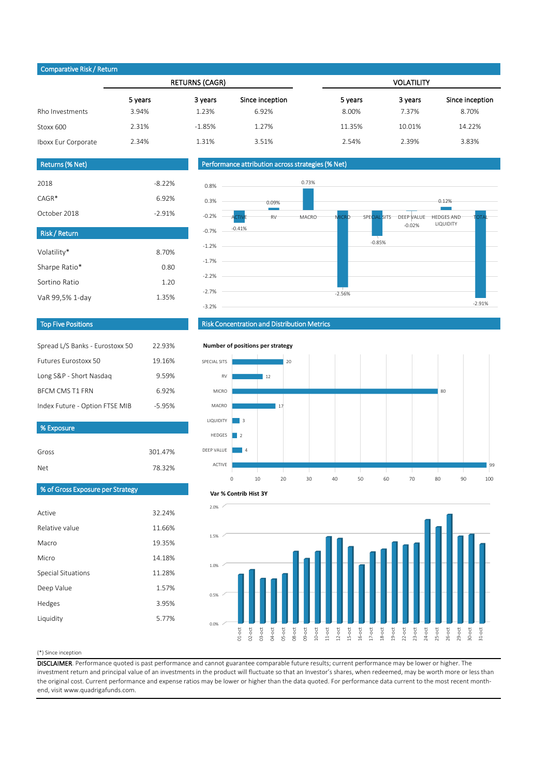#### (\*) Since inception

DISCLAIMER. Performance quoted is past performance and cannot guarantee comparable future results; current performance may be lower or higher. The investment return and principal value of an investments in the product will fluctuate so that an Investor's shares, when redeemed, may be worth more or less than the original cost. Current performance and expense ratios may be lower or higher than the data quoted. For performance data current to the most recent monthend, visit www.quadrigafunds.com.

|                     |         | <b>RETURNS (CAGR)</b> |                 | <b>VOLATILITY</b> |         |                 |  |  |
|---------------------|---------|-----------------------|-----------------|-------------------|---------|-----------------|--|--|
|                     | 5 years | 3 years               | Since inception | 5 years           | 3 years | Since inception |  |  |
| Rho Investments     | 3.94%   | 1.23%                 | 6.92%           | 8.00%             | 7.37%   | 8.70%           |  |  |
| Stoxx 600           | 2.31%   | $-1.85%$              | 1.27%           | 11.35%            | 10.01%  | 14.22%          |  |  |
| Iboxx Eur Corporate | 2.34%   | 1.31%                 | 3.51%           | 2.54%             | 2.39%   | 3.83%           |  |  |



| Gross                            | 301.47% |  |
|----------------------------------|---------|--|
| Net.                             | 78.32%  |  |
| % of Gross Exposure per Strategy |         |  |

| Spread L/S Banks - Eurostoxx 50 | 22.93%   |
|---------------------------------|----------|
| <b>Futures Eurostoxx 50</b>     | 19.16%   |
| Long S&P - Short Nasdaq         | 9.59%    |
| <b>BFCM CMS T1 FRN</b>          | 6.92%    |
| Index Future - Option FTSE MIB  | $-5.95%$ |

| 2018         | $-8.22%$ |
|--------------|----------|
| $CAGR*$      | 6.92%    |
| October 2018 | $-2.91%$ |

| <b>Risk/Return</b> |       |
|--------------------|-------|
| Volatility*        | 8.70% |
| Sharpe Ratio*      | 0.80  |
| Sortino Ratio      | 1.20  |
| VaR 99,5% 1-day    | 1.35% |

# Returns (% Net)

## Top Five Positions

## Risk Concentration and Distribution Metrics

## Performance attribution across strategies (% Net)

## Comparative Risk / Return

% Exposure







#### **Number of positions per strategy**



#### **Var % Contrib Hist 3Y**